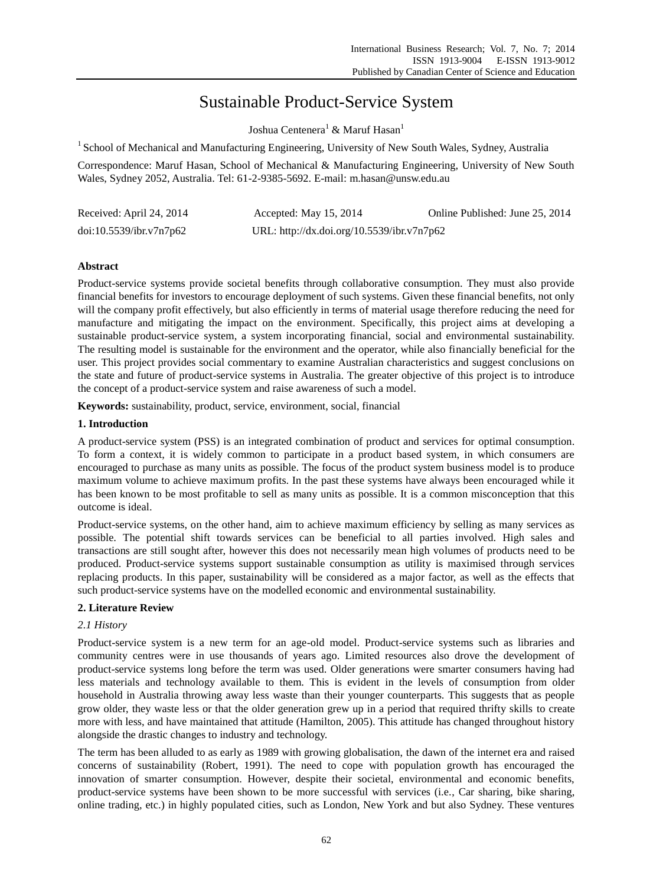# Sustainable Product-Service System

Joshua Centenera<sup>1</sup> & Maruf Hasan<sup>1</sup>

<sup>1</sup> School of Mechanical and Manufacturing Engineering, University of New South Wales, Sydney, Australia

Correspondence: Maruf Hasan, School of Mechanical & Manufacturing Engineering, University of New South Wales, Sydney 2052, Australia. Tel: 61-2-9385-5692. E-mail: m.hasan@unsw.edu.au

| Received: April 24, 2014 | Accepted: May 15, 2014                     | Online Published: June 25, 2014 |
|--------------------------|--------------------------------------------|---------------------------------|
| doi:10.5539/ibr.v7n7p62  | URL: http://dx.doi.org/10.5539/ibr.v7n7p62 |                                 |

# **Abstract**

Product-service systems provide societal benefits through collaborative consumption. They must also provide financial benefits for investors to encourage deployment of such systems. Given these financial benefits, not only will the company profit effectively, but also efficiently in terms of material usage therefore reducing the need for manufacture and mitigating the impact on the environment. Specifically, this project aims at developing a sustainable product-service system, a system incorporating financial, social and environmental sustainability. The resulting model is sustainable for the environment and the operator, while also financially beneficial for the user. This project provides social commentary to examine Australian characteristics and suggest conclusions on the state and future of product-service systems in Australia. The greater objective of this project is to introduce the concept of a product-service system and raise awareness of such a model.

**Keywords:** sustainability, product, service, environment, social, financial

# **1. Introduction**

A product-service system (PSS) is an integrated combination of product and services for optimal consumption. To form a context, it is widely common to participate in a product based system, in which consumers are encouraged to purchase as many units as possible. The focus of the product system business model is to produce maximum volume to achieve maximum profits. In the past these systems have always been encouraged while it has been known to be most profitable to sell as many units as possible. It is a common misconception that this outcome is ideal.

Product-service systems, on the other hand, aim to achieve maximum efficiency by selling as many services as possible. The potential shift towards services can be beneficial to all parties involved. High sales and transactions are still sought after, however this does not necessarily mean high volumes of products need to be produced. Product-service systems support sustainable consumption as utility is maximised through services replacing products. In this paper, sustainability will be considered as a major factor, as well as the effects that such product-service systems have on the modelled economic and environmental sustainability.

# **2. Literature Review**

# *2.1 History*

Product-service system is a new term for an age-old model. Product-service systems such as libraries and community centres were in use thousands of years ago. Limited resources also drove the development of product-service systems long before the term was used. Older generations were smarter consumers having had less materials and technology available to them. This is evident in the levels of consumption from older household in Australia throwing away less waste than their younger counterparts. This suggests that as people grow older, they waste less or that the older generation grew up in a period that required thrifty skills to create more with less, and have maintained that attitude (Hamilton, 2005). This attitude has changed throughout history alongside the drastic changes to industry and technology.

The term has been alluded to as early as 1989 with growing globalisation, the dawn of the internet era and raised concerns of sustainability (Robert, 1991). The need to cope with population growth has encouraged the innovation of smarter consumption. However, despite their societal, environmental and economic benefits, product-service systems have been shown to be more successful with services (i.e., Car sharing, bike sharing, online trading, etc.) in highly populated cities, such as London, New York and but also Sydney. These ventures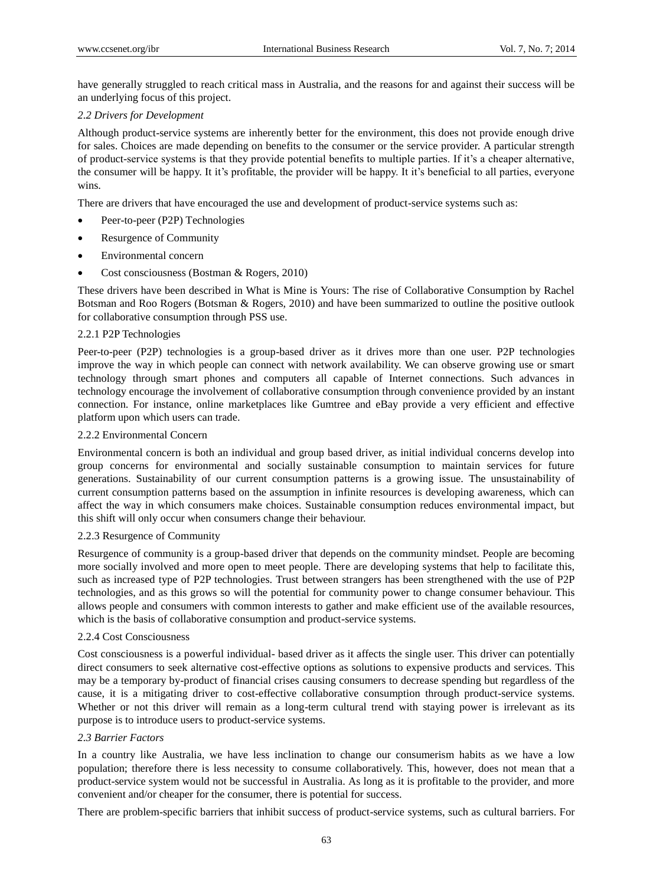have generally struggled to reach critical mass in Australia, and the reasons for and against their success will be an underlying focus of this project.

# *2.2 Drivers for Development*

Although product-service systems are inherently better for the environment, this does not provide enough drive for sales. Choices are made depending on benefits to the consumer or the service provider. A particular strength of product-service systems is that they provide potential benefits to multiple parties. If it's a cheaper alternative, the consumer will be happy. It it's profitable, the provider will be happy. It it's beneficial to all parties, everyone wins.

There are drivers that have encouraged the use and development of product-service systems such as:

- Peer-to-peer (P2P) Technologies
- Resurgence of Community
- Environmental concern
- Cost consciousness (Bostman & Rogers, 2010)

These drivers have been described in What is Mine is Yours: The rise of Collaborative Consumption by Rachel Botsman and Roo Rogers (Botsman & Rogers, 2010) and have been summarized to outline the positive outlook for collaborative consumption through PSS use.

# 2.2.1 P2P Technologies

Peer-to-peer (P2P) technologies is a group-based driver as it drives more than one user. P2P technologies improve the way in which people can connect with network availability. We can observe growing use or smart technology through smart phones and computers all capable of Internet connections. Such advances in technology encourage the involvement of collaborative consumption through convenience provided by an instant connection. For instance, online marketplaces like Gumtree and eBay provide a very efficient and effective platform upon which users can trade.

# 2.2.2 Environmental Concern

Environmental concern is both an individual and group based driver, as initial individual concerns develop into group concerns for environmental and socially sustainable consumption to maintain services for future generations. Sustainability of our current consumption patterns is a growing issue. The unsustainability of current consumption patterns based on the assumption in infinite resources is developing awareness, which can affect the way in which consumers make choices. Sustainable consumption reduces environmental impact, but this shift will only occur when consumers change their behaviour.

# 2.2.3 Resurgence of Community

Resurgence of community is a group-based driver that depends on the community mindset. People are becoming more socially involved and more open to meet people. There are developing systems that help to facilitate this, such as increased type of P2P technologies. Trust between strangers has been strengthened with the use of P2P technologies, and as this grows so will the potential for community power to change consumer behaviour. This allows people and consumers with common interests to gather and make efficient use of the available resources, which is the basis of collaborative consumption and product-service systems.

# 2.2.4 Cost Consciousness

Cost consciousness is a powerful individual- based driver as it affects the single user. This driver can potentially direct consumers to seek alternative cost-effective options as solutions to expensive products and services. This may be a temporary by-product of financial crises causing consumers to decrease spending but regardless of the cause, it is a mitigating driver to cost-effective collaborative consumption through product-service systems. Whether or not this driver will remain as a long-term cultural trend with staying power is irrelevant as its purpose is to introduce users to product-service systems.

# *2.3 Barrier Factors*

In a country like Australia, we have less inclination to change our consumerism habits as we have a low population; therefore there is less necessity to consume collaboratively. This, however, does not mean that a product-service system would not be successful in Australia. As long as it is profitable to the provider, and more convenient and/or cheaper for the consumer, there is potential for success.

There are problem-specific barriers that inhibit success of product-service systems, such as cultural barriers. For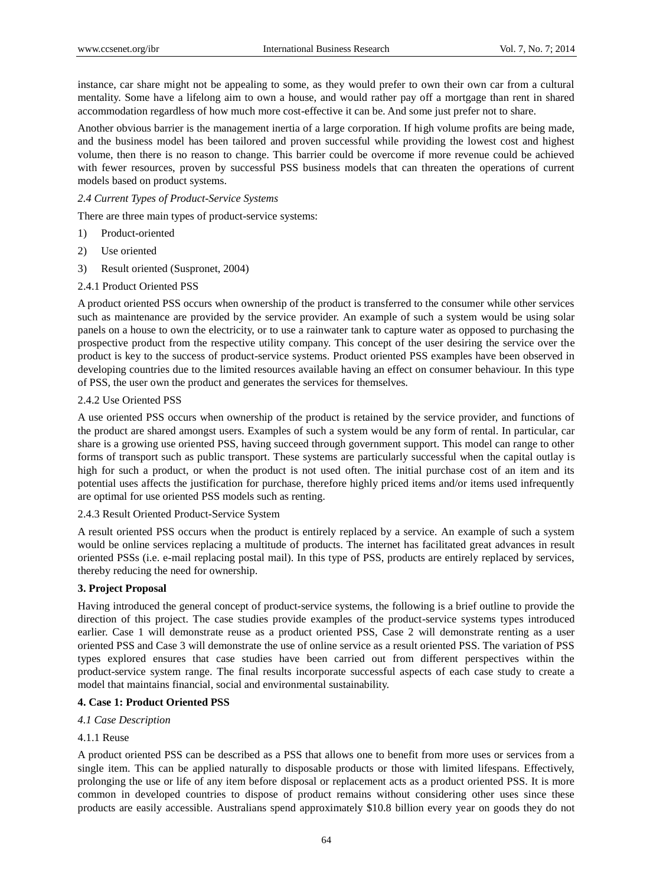instance, car share might not be appealing to some, as they would prefer to own their own car from a cultural mentality. Some have a lifelong aim to own a house, and would rather pay off a mortgage than rent in shared accommodation regardless of how much more cost-effective it can be. And some just prefer not to share.

Another obvious barrier is the management inertia of a large corporation. If high volume profits are being made, and the business model has been tailored and proven successful while providing the lowest cost and highest volume, then there is no reason to change. This barrier could be overcome if more revenue could be achieved with fewer resources, proven by successful PSS business models that can threaten the operations of current models based on product systems.

# *2.4 Current Types of Product-Service Systems*

There are three main types of product-service systems:

- 1) Product-oriented
- 2) Use oriented
- 3) Result oriented (Suspronet, 2004)

# 2.4.1 Product Oriented PSS

A product oriented PSS occurs when ownership of the product is transferred to the consumer while other services such as maintenance are provided by the service provider. An example of such a system would be using solar panels on a house to own the electricity, or to use a rainwater tank to capture water as opposed to purchasing the prospective product from the respective utility company. This concept of the user desiring the service over the product is key to the success of product-service systems. Product oriented PSS examples have been observed in developing countries due to the limited resources available having an effect on consumer behaviour. In this type of PSS, the user own the product and generates the services for themselves.

# 2.4.2 Use Oriented PSS

A use oriented PSS occurs when ownership of the product is retained by the service provider, and functions of the product are shared amongst users. Examples of such a system would be any form of rental. In particular, car share is a growing use oriented PSS, having succeed through government support. This model can range to other forms of transport such as public transport. These systems are particularly successful when the capital outlay is high for such a product, or when the product is not used often. The initial purchase cost of an item and its potential uses affects the justification for purchase, therefore highly priced items and/or items used infrequently are optimal for use oriented PSS models such as renting.

2.4.3 Result Oriented Product-Service System

A result oriented PSS occurs when the product is entirely replaced by a service. An example of such a system would be online services replacing a multitude of products. The internet has facilitated great advances in result oriented PSSs (i.e. e-mail replacing postal mail). In this type of PSS, products are entirely replaced by services, thereby reducing the need for ownership.

# **3. Project Proposal**

Having introduced the general concept of product-service systems, the following is a brief outline to provide the direction of this project. The case studies provide examples of the product-service systems types introduced earlier. Case 1 will demonstrate reuse as a product oriented PSS, Case 2 will demonstrate renting as a user oriented PSS and Case 3 will demonstrate the use of online service as a result oriented PSS. The variation of PSS types explored ensures that case studies have been carried out from different perspectives within the product-service system range. The final results incorporate successful aspects of each case study to create a model that maintains financial, social and environmental sustainability.

# **4. Case 1: Product Oriented PSS**

# *4.1 Case Description*

# 4.1.1 Reuse

A product oriented PSS can be described as a PSS that allows one to benefit from more uses or services from a single item. This can be applied naturally to disposable products or those with limited lifespans. Effectively, prolonging the use or life of any item before disposal or replacement acts as a product oriented PSS. It is more common in developed countries to dispose of product remains without considering other uses since these products are easily accessible. Australians spend approximately \$10.8 billion every year on goods they do not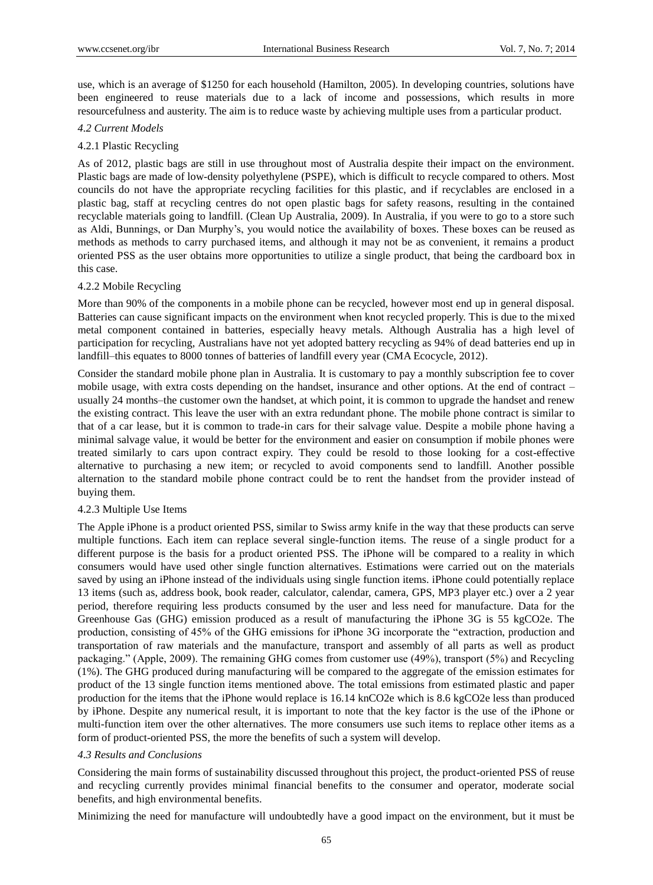use, which is an average of \$1250 for each household (Hamilton, 2005). In developing countries, solutions have been engineered to reuse materials due to a lack of income and possessions, which results in more resourcefulness and austerity. The aim is to reduce waste by achieving multiple uses from a particular product.

#### *4.2 Current Models*

## 4.2.1 Plastic Recycling

As of 2012, plastic bags are still in use throughout most of Australia despite their impact on the environment. Plastic bags are made of low-density polyethylene (PSPE), which is difficult to recycle compared to others. Most councils do not have the appropriate recycling facilities for this plastic, and if recyclables are enclosed in a plastic bag, staff at recycling centres do not open plastic bags for safety reasons, resulting in the contained recyclable materials going to landfill. (Clean Up Australia, 2009). In Australia, if you were to go to a store such as Aldi, Bunnings, or Dan Murphy's, you would notice the availability of boxes. These boxes can be reused as methods as methods to carry purchased items, and although it may not be as convenient, it remains a product oriented PSS as the user obtains more opportunities to utilize a single product, that being the cardboard box in this case.

#### 4.2.2 Mobile Recycling

More than 90% of the components in a mobile phone can be recycled, however most end up in general disposal. Batteries can cause significant impacts on the environment when knot recycled properly. This is due to the mixed metal component contained in batteries, especially heavy metals. Although Australia has a high level of participation for recycling, Australians have not yet adopted battery recycling as 94% of dead batteries end up in landfill–this equates to 8000 tonnes of batteries of landfill every year (CMA Ecocycle, 2012).

Consider the standard mobile phone plan in Australia. It is customary to pay a monthly subscription fee to cover mobile usage, with extra costs depending on the handset, insurance and other options. At the end of contract – usually 24 months–the customer own the handset, at which point, it is common to upgrade the handset and renew the existing contract. This leave the user with an extra redundant phone. The mobile phone contract is similar to that of a car lease, but it is common to trade-in cars for their salvage value. Despite a mobile phone having a minimal salvage value, it would be better for the environment and easier on consumption if mobile phones were treated similarly to cars upon contract expiry. They could be resold to those looking for a cost-effective alternative to purchasing a new item; or recycled to avoid components send to landfill. Another possible alternation to the standard mobile phone contract could be to rent the handset from the provider instead of buying them.

#### 4.2.3 Multiple Use Items

The Apple iPhone is a product oriented PSS, similar to Swiss army knife in the way that these products can serve multiple functions. Each item can replace several single-function items. The reuse of a single product for a different purpose is the basis for a product oriented PSS. The iPhone will be compared to a reality in which consumers would have used other single function alternatives. Estimations were carried out on the materials saved by using an iPhone instead of the individuals using single function items. iPhone could potentially replace 13 items (such as, address book, book reader, calculator, calendar, camera, GPS, MP3 player etc.) over a 2 year period, therefore requiring less products consumed by the user and less need for manufacture. Data for the Greenhouse Gas (GHG) emission produced as a result of manufacturing the iPhone 3G is 55 kgCO2e. The production, consisting of 45% of the GHG emissions for iPhone 3G incorporate the "extraction, production and transportation of raw materials and the manufacture, transport and assembly of all parts as well as product packaging." (Apple, 2009). The remaining GHG comes from customer use (49%), transport (5%) and Recycling (1%). The GHG produced during manufacturing will be compared to the aggregate of the emission estimates for product of the 13 single function items mentioned above. The total emissions from estimated plastic and paper production for the items that the iPhone would replace is 16.14 knCO2e which is 8.6 kgCO2e less than produced by iPhone. Despite any numerical result, it is important to note that the key factor is the use of the iPhone or multi-function item over the other alternatives. The more consumers use such items to replace other items as a form of product-oriented PSS, the more the benefits of such a system will develop.

## *4.3 Results and Conclusions*

Considering the main forms of sustainability discussed throughout this project, the product-oriented PSS of reuse and recycling currently provides minimal financial benefits to the consumer and operator, moderate social benefits, and high environmental benefits.

Minimizing the need for manufacture will undoubtedly have a good impact on the environment, but it must be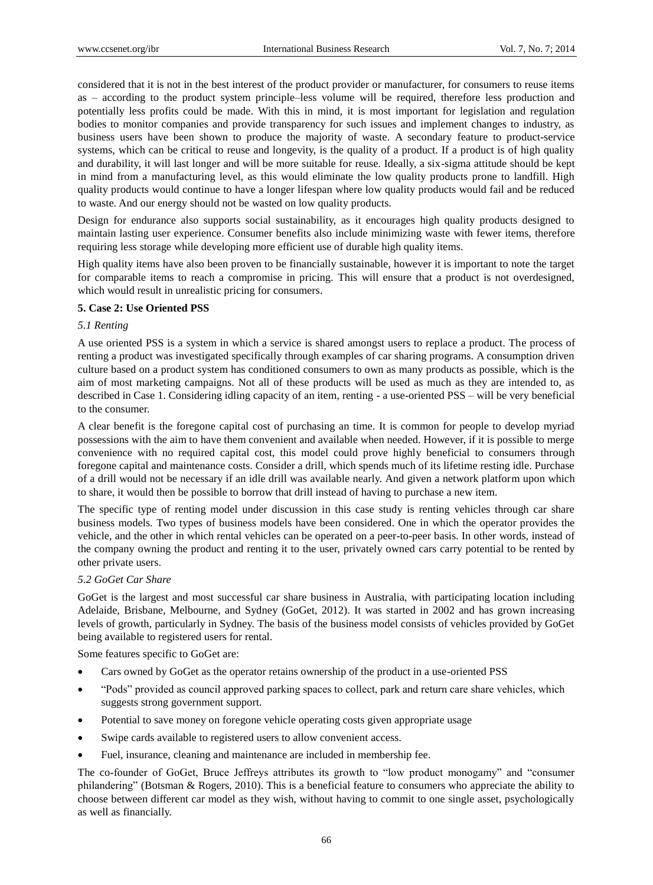considered that it is not in the best interest of the product provider or manufacturer, for consumers to reuse items as – according to the product system principle–less volume will be required, therefore less production and potentially less profits could be made. With this in mind, it is most important for legislation and regulation bodies to monitor companies and provide transparency for such issues and implement changes to industry, as business users have been shown to produce the majority of waste. A secondary feature to product-service systems, which can be critical to reuse and longevity, is the quality of a product. If a product is of high quality and durability, it will last longer and will be more suitable for reuse. Ideally, a six-sigma attitude should be kept in mind from a manufacturing level, as this would eliminate the low quality products prone to landfill. High quality products would continue to have a longer lifespan where low quality products would fail and be reduced to waste. And our energy should not be wasted on low quality products.

Design for endurance also supports social sustainability, as it encourages high quality products designed to maintain lasting user experience. Consumer benefits also include minimizing waste with fewer items, therefore requiring less storage while developing more efficient use of durable high quality items.

High quality items have also been proven to be financially sustainable, however it is important to note the target for comparable items to reach a compromise in pricing. This will ensure that a product is not overdesigned, which would result in unrealistic pricing for consumers.

# **5. Case 2: Use Oriented PSS**

# *5.1 Renting*

A use oriented PSS is a system in which a service is shared amongst users to replace a product. The process of renting a product was investigated specifically through examples of car sharing programs. A consumption driven culture based on a product system has conditioned consumers to own as many products as possible, which is the aim of most marketing campaigns. Not all of these products will be used as much as they are intended to, as described in Case 1. Considering idling capacity of an item, renting - a use-oriented PSS – will be very beneficial to the consumer.

A clear benefit is the foregone capital cost of purchasing an time. It is common for people to develop myriad possessions with the aim to have them convenient and available when needed. However, if it is possible to merge convenience with no required capital cost, this model could prove highly beneficial to consumers through foregone capital and maintenance costs. Consider a drill, which spends much of its lifetime resting idle. Purchase of a drill would not be necessary if an idle drill was available nearly. And given a network platform upon which to share, it would then be possible to borrow that drill instead of having to purchase a new item.

The specific type of renting model under discussion in this case study is renting vehicles through car share business models. Two types of business models have been considered. One in which the operator provides the vehicle, and the other in which rental vehicles can be operated on a peer-to-peer basis. In other words, instead of the company owning the product and renting it to the user, privately owned cars carry potential to be rented by other private users.

# *5.2 GoGet Car Share*

GoGet is the largest and most successful car share business in Australia, with participating location including Adelaide, Brisbane, Melbourne, and Sydney (GoGet, 2012). It was started in 2002 and has grown increasing levels of growth, particularly in Sydney. The basis of the business model consists of vehicles provided by GoGet being available to registered users for rental.

Some features specific to GoGet are:

- Cars owned by GoGet as the operator retains ownership of the product in a use-oriented PSS
- "Pods" provided as council approved parking spaces to collect, park and return care share vehicles, which suggests strong government support.
- Potential to save money on foregone vehicle operating costs given appropriate usage
- Swipe cards available to registered users to allow convenient access.
- Fuel, insurance, cleaning and maintenance are included in membership fee.

The co-founder of GoGet, Bruce Jeffreys attributes its growth to "low product monogamy" and "consumer philandering" (Botsman & Rogers, 2010). This is a beneficial feature to consumers who appreciate the ability to choose between different car model as they wish, without having to commit to one single asset, psychologically as well as financially.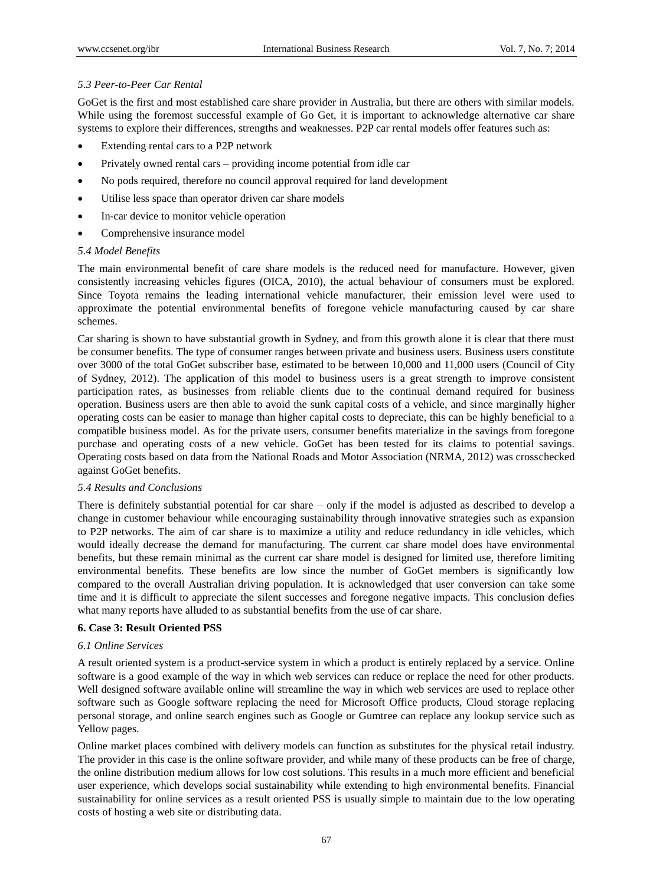# *5.3 Peer-to-Peer Car Rental*

GoGet is the first and most established care share provider in Australia, but there are others with similar models. While using the foremost successful example of Go Get, it is important to acknowledge alternative car share systems to explore their differences, strengths and weaknesses. P2P car rental models offer features such as:

- Extending rental cars to a P2P network
- Privately owned rental cars providing income potential from idle car
- No pods required, therefore no council approval required for land development
- Utilise less space than operator driven car share models
- In-car device to monitor vehicle operation
- Comprehensive insurance model

# *5.4 Model Benefits*

The main environmental benefit of care share models is the reduced need for manufacture. However, given consistently increasing vehicles figures (OICA, 2010), the actual behaviour of consumers must be explored. Since Toyota remains the leading international vehicle manufacturer, their emission level were used to approximate the potential environmental benefits of foregone vehicle manufacturing caused by car share schemes.

Car sharing is shown to have substantial growth in Sydney, and from this growth alone it is clear that there must be consumer benefits. The type of consumer ranges between private and business users. Business users constitute over 3000 of the total GoGet subscriber base, estimated to be between 10,000 and 11,000 users (Council of City of Sydney, 2012). The application of this model to business users is a great strength to improve consistent participation rates, as businesses from reliable clients due to the continual demand required for business operation. Business users are then able to avoid the sunk capital costs of a vehicle, and since marginally higher operating costs can be easier to manage than higher capital costs to depreciate, this can be highly beneficial to a compatible business model. As for the private users, consumer benefits materialize in the savings from foregone purchase and operating costs of a new vehicle. GoGet has been tested for its claims to potential savings. Operating costs based on data from the National Roads and Motor Association (NRMA, 2012) was crosschecked against GoGet benefits.

# *5.4 Results and Conclusions*

There is definitely substantial potential for car share – only if the model is adjusted as described to develop a change in customer behaviour while encouraging sustainability through innovative strategies such as expansion to P2P networks. The aim of car share is to maximize a utility and reduce redundancy in idle vehicles, which would ideally decrease the demand for manufacturing. The current car share model does have environmental benefits, but these remain minimal as the current car share model is designed for limited use, therefore limiting environmental benefits. These benefits are low since the number of GoGet members is significantly low compared to the overall Australian driving population. It is acknowledged that user conversion can take some time and it is difficult to appreciate the silent successes and foregone negative impacts. This conclusion defies what many reports have alluded to as substantial benefits from the use of car share.

# **6. Case 3: Result Oriented PSS**

# *6.1 Online Services*

A result oriented system is a product-service system in which a product is entirely replaced by a service. Online software is a good example of the way in which web services can reduce or replace the need for other products. Well designed software available online will streamline the way in which web services are used to replace other software such as Google software replacing the need for Microsoft Office products, Cloud storage replacing personal storage, and online search engines such as Google or Gumtree can replace any lookup service such as Yellow pages.

Online market places combined with delivery models can function as substitutes for the physical retail industry. The provider in this case is the online software provider, and while many of these products can be free of charge, the online distribution medium allows for low cost solutions. This results in a much more efficient and beneficial user experience, which develops social sustainability while extending to high environmental benefits. Financial sustainability for online services as a result oriented PSS is usually simple to maintain due to the low operating costs of hosting a web site or distributing data.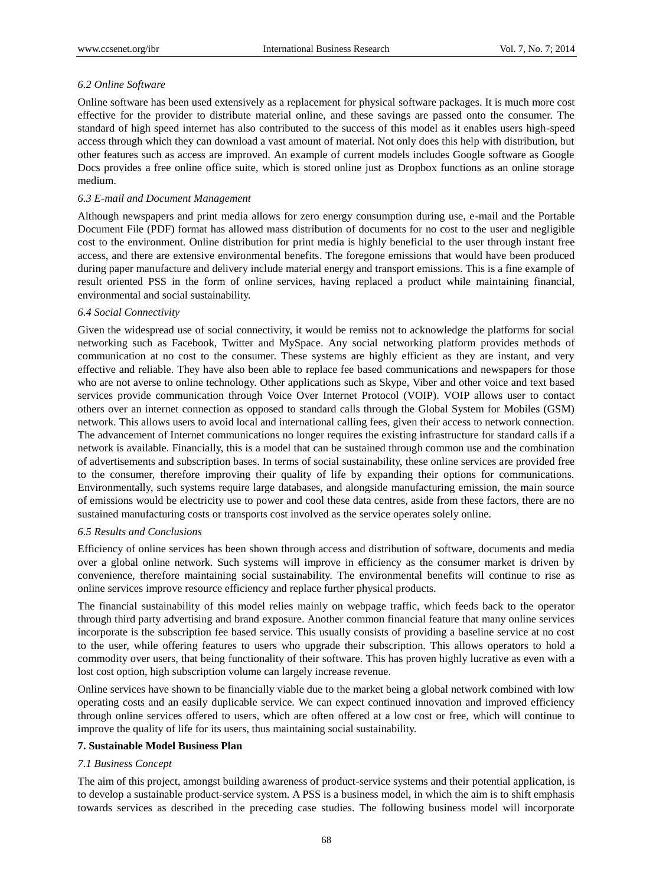## *6.2 Online Software*

Online software has been used extensively as a replacement for physical software packages. It is much more cost effective for the provider to distribute material online, and these savings are passed onto the consumer. The standard of high speed internet has also contributed to the success of this model as it enables users high-speed access through which they can download a vast amount of material. Not only does this help with distribution, but other features such as access are improved. An example of current models includes Google software as Google Docs provides a free online office suite, which is stored online just as Dropbox functions as an online storage medium.

#### *6.3 E-mail and Document Management*

Although newspapers and print media allows for zero energy consumption during use, e-mail and the Portable Document File (PDF) format has allowed mass distribution of documents for no cost to the user and negligible cost to the environment. Online distribution for print media is highly beneficial to the user through instant free access, and there are extensive environmental benefits. The foregone emissions that would have been produced during paper manufacture and delivery include material energy and transport emissions. This is a fine example of result oriented PSS in the form of online services, having replaced a product while maintaining financial, environmental and social sustainability.

#### *6.4 Social Connectivity*

Given the widespread use of social connectivity, it would be remiss not to acknowledge the platforms for social networking such as Facebook, Twitter and MySpace. Any social networking platform provides methods of communication at no cost to the consumer. These systems are highly efficient as they are instant, and very effective and reliable. They have also been able to replace fee based communications and newspapers for those who are not averse to online technology. Other applications such as Skype, Viber and other voice and text based services provide communication through Voice Over Internet Protocol (VOIP). VOIP allows user to contact others over an internet connection as opposed to standard calls through the Global System for Mobiles (GSM) network. This allows users to avoid local and international calling fees, given their access to network connection. The advancement of Internet communications no longer requires the existing infrastructure for standard calls if a network is available. Financially, this is a model that can be sustained through common use and the combination of advertisements and subscription bases. In terms of social sustainability, these online services are provided free to the consumer, therefore improving their quality of life by expanding their options for communications. Environmentally, such systems require large databases, and alongside manufacturing emission, the main source of emissions would be electricity use to power and cool these data centres, aside from these factors, there are no sustained manufacturing costs or transports cost involved as the service operates solely online.

## *6.5 Results and Conclusions*

Efficiency of online services has been shown through access and distribution of software, documents and media over a global online network. Such systems will improve in efficiency as the consumer market is driven by convenience, therefore maintaining social sustainability. The environmental benefits will continue to rise as online services improve resource efficiency and replace further physical products.

The financial sustainability of this model relies mainly on webpage traffic, which feeds back to the operator through third party advertising and brand exposure. Another common financial feature that many online services incorporate is the subscription fee based service. This usually consists of providing a baseline service at no cost to the user, while offering features to users who upgrade their subscription. This allows operators to hold a commodity over users, that being functionality of their software. This has proven highly lucrative as even with a lost cost option, high subscription volume can largely increase revenue.

Online services have shown to be financially viable due to the market being a global network combined with low operating costs and an easily duplicable service. We can expect continued innovation and improved efficiency through online services offered to users, which are often offered at a low cost or free, which will continue to improve the quality of life for its users, thus maintaining social sustainability.

#### **7. Sustainable Model Business Plan**

#### *7.1 Business Concept*

The aim of this project, amongst building awareness of product-service systems and their potential application, is to develop a sustainable product-service system. A PSS is a business model, in which the aim is to shift emphasis towards services as described in the preceding case studies. The following business model will incorporate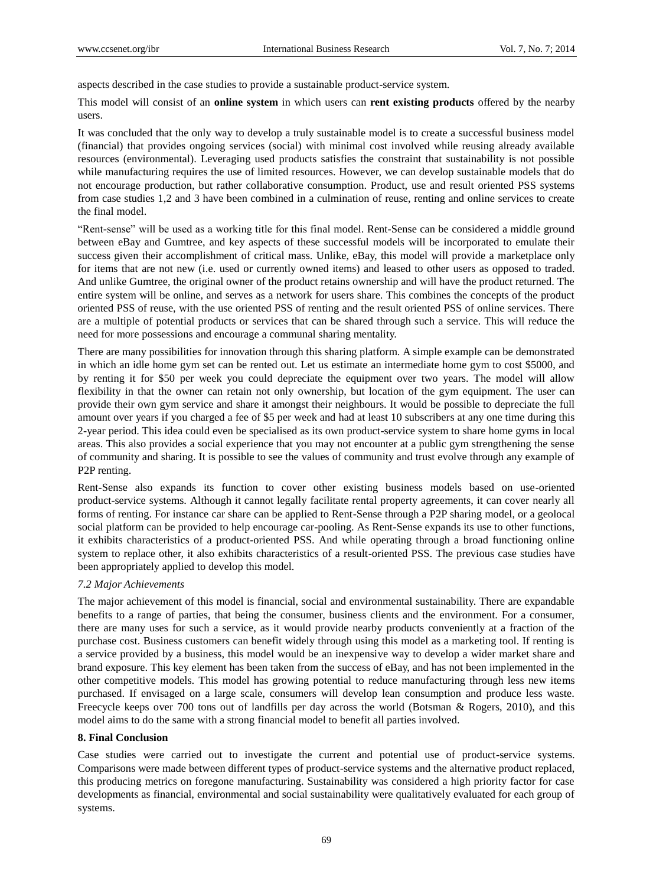aspects described in the case studies to provide a sustainable product-service system.

This model will consist of an **online system** in which users can **rent existing products** offered by the nearby users.

It was concluded that the only way to develop a truly sustainable model is to create a successful business model (financial) that provides ongoing services (social) with minimal cost involved while reusing already available resources (environmental). Leveraging used products satisfies the constraint that sustainability is not possible while manufacturing requires the use of limited resources. However, we can develop sustainable models that do not encourage production, but rather collaborative consumption. Product, use and result oriented PSS systems from case studies 1,2 and 3 have been combined in a culmination of reuse, renting and online services to create the final model.

"Rent-sense" will be used as a working title for this final model. Rent-Sense can be considered a middle ground between eBay and Gumtree, and key aspects of these successful models will be incorporated to emulate their success given their accomplishment of critical mass. Unlike, eBay, this model will provide a marketplace only for items that are not new (i.e. used or currently owned items) and leased to other users as opposed to traded. And unlike Gumtree, the original owner of the product retains ownership and will have the product returned. The entire system will be online, and serves as a network for users share. This combines the concepts of the product oriented PSS of reuse, with the use oriented PSS of renting and the result oriented PSS of online services. There are a multiple of potential products or services that can be shared through such a service. This will reduce the need for more possessions and encourage a communal sharing mentality.

There are many possibilities for innovation through this sharing platform. A simple example can be demonstrated in which an idle home gym set can be rented out. Let us estimate an intermediate home gym to cost \$5000, and by renting it for \$50 per week you could depreciate the equipment over two years. The model will allow flexibility in that the owner can retain not only ownership, but location of the gym equipment. The user can provide their own gym service and share it amongst their neighbours. It would be possible to depreciate the full amount over years if you charged a fee of \$5 per week and had at least 10 subscribers at any one time during this 2-year period. This idea could even be specialised as its own product-service system to share home gyms in local areas. This also provides a social experience that you may not encounter at a public gym strengthening the sense of community and sharing. It is possible to see the values of community and trust evolve through any example of P2P renting.

Rent-Sense also expands its function to cover other existing business models based on use-oriented product-service systems. Although it cannot legally facilitate rental property agreements, it can cover nearly all forms of renting. For instance car share can be applied to Rent-Sense through a P2P sharing model, or a geolocal social platform can be provided to help encourage car-pooling. As Rent-Sense expands its use to other functions, it exhibits characteristics of a product-oriented PSS. And while operating through a broad functioning online system to replace other, it also exhibits characteristics of a result-oriented PSS. The previous case studies have been appropriately applied to develop this model.

# *7.2 Major Achievements*

The major achievement of this model is financial, social and environmental sustainability. There are expandable benefits to a range of parties, that being the consumer, business clients and the environment. For a consumer, there are many uses for such a service, as it would provide nearby products conveniently at a fraction of the purchase cost. Business customers can benefit widely through using this model as a marketing tool. If renting is a service provided by a business, this model would be an inexpensive way to develop a wider market share and brand exposure. This key element has been taken from the success of eBay, and has not been implemented in the other competitive models. This model has growing potential to reduce manufacturing through less new items purchased. If envisaged on a large scale, consumers will develop lean consumption and produce less waste. Freecycle keeps over 700 tons out of landfills per day across the world (Botsman & Rogers, 2010), and this model aims to do the same with a strong financial model to benefit all parties involved.

# **8. Final Conclusion**

Case studies were carried out to investigate the current and potential use of product-service systems. Comparisons were made between different types of product-service systems and the alternative product replaced, this producing metrics on foregone manufacturing. Sustainability was considered a high priority factor for case developments as financial, environmental and social sustainability were qualitatively evaluated for each group of systems.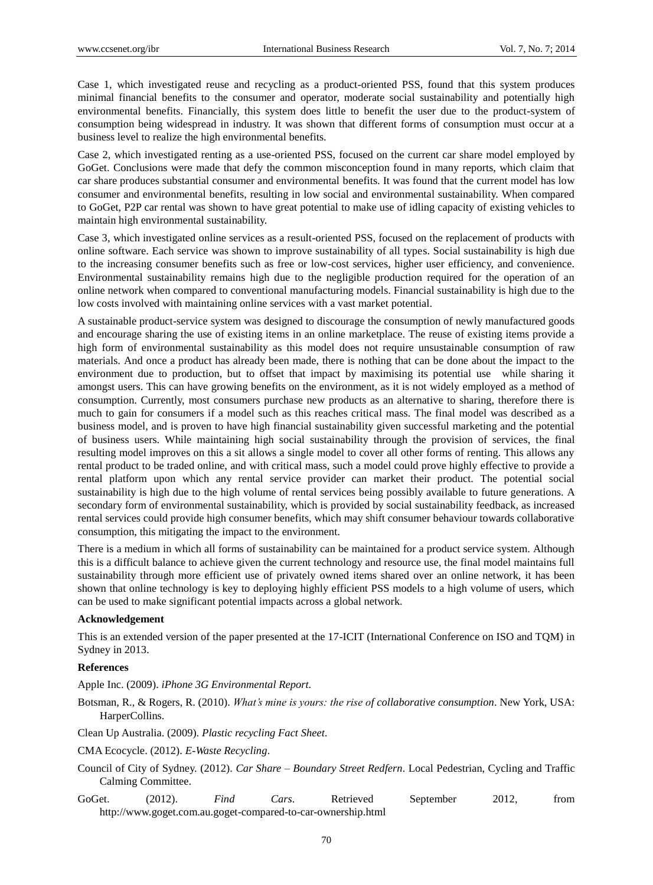Case 1, which investigated reuse and recycling as a product-oriented PSS, found that this system produces minimal financial benefits to the consumer and operator, moderate social sustainability and potentially high environmental benefits. Financially, this system does little to benefit the user due to the product-system of consumption being widespread in industry. It was shown that different forms of consumption must occur at a business level to realize the high environmental benefits.

Case 2, which investigated renting as a use-oriented PSS, focused on the current car share model employed by GoGet. Conclusions were made that defy the common misconception found in many reports, which claim that car share produces substantial consumer and environmental benefits. It was found that the current model has low consumer and environmental benefits, resulting in low social and environmental sustainability. When compared to GoGet, P2P car rental was shown to have great potential to make use of idling capacity of existing vehicles to maintain high environmental sustainability.

Case 3, which investigated online services as a result-oriented PSS, focused on the replacement of products with online software. Each service was shown to improve sustainability of all types. Social sustainability is high due to the increasing consumer benefits such as free or low-cost services, higher user efficiency, and convenience. Environmental sustainability remains high due to the negligible production required for the operation of an online network when compared to conventional manufacturing models. Financial sustainability is high due to the low costs involved with maintaining online services with a vast market potential.

A sustainable product-service system was designed to discourage the consumption of newly manufactured goods and encourage sharing the use of existing items in an online marketplace. The reuse of existing items provide a high form of environmental sustainability as this model does not require unsustainable consumption of raw materials. And once a product has already been made, there is nothing that can be done about the impact to the environment due to production, but to offset that impact by maximising its potential use while sharing it amongst users. This can have growing benefits on the environment, as it is not widely employed as a method of consumption. Currently, most consumers purchase new products as an alternative to sharing, therefore there is much to gain for consumers if a model such as this reaches critical mass. The final model was described as a business model, and is proven to have high financial sustainability given successful marketing and the potential of business users. While maintaining high social sustainability through the provision of services, the final resulting model improves on this a sit allows a single model to cover all other forms of renting. This allows any rental product to be traded online, and with critical mass, such a model could prove highly effective to provide a rental platform upon which any rental service provider can market their product. The potential social sustainability is high due to the high volume of rental services being possibly available to future generations. A secondary form of environmental sustainability, which is provided by social sustainability feedback, as increased rental services could provide high consumer benefits, which may shift consumer behaviour towards collaborative consumption, this mitigating the impact to the environment.

There is a medium in which all forms of sustainability can be maintained for a product service system. Although this is a difficult balance to achieve given the current technology and resource use, the final model maintains full sustainability through more efficient use of privately owned items shared over an online network, it has been shown that online technology is key to deploying highly efficient PSS models to a high volume of users, which can be used to make significant potential impacts across a global network.

#### **Acknowledgement**

This is an extended version of the paper presented at the 17-ICIT (International Conference on ISO and TQM) in Sydney in 2013.

#### **References**

Apple Inc. (2009). *iPhone 3G Environmental Report.*

Botsman, R., & Rogers, R. (2010). *What's mine is yours: the rise of collaborative consumption*. New York, USA: HarperCollins.

Clean Up Australia. (2009). *Plastic recycling Fact Sheet.*

CMA Ecocycle. (2012). *E-Waste Recycling*.

- Council of City of Sydney. (2012). *Car Share – Boundary Street Redfern*. Local Pedestrian, Cycling and Traffic Calming Committee.
- GoGet. (2012). *Find Cars*. Retrieved September 2012, from http://www.goget.com.au.goget-compared-to-car-ownership.html